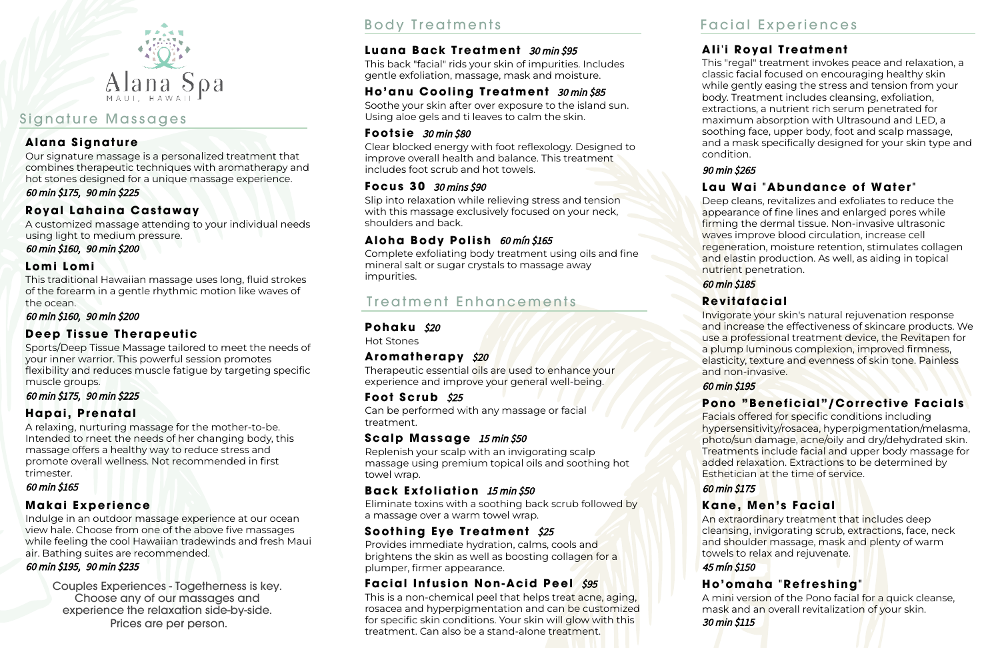

# Signature Massages

### **Alana Signature**

This "regal" treatment invokes peace and relaxation, a classic facial focused on encouraging healthy skin while gently easing the stress and tension from your body. Treatment includes cleansing, exfoliation, extractions, a nutrient rich serum penetrated for maximum absorption with Ultrasound and LED, a soothing face, upper body, foot and scalp massage, and a mask specifically designed for your skin type and condition.

90 min \$265

# Lau Wai "Abundance of Water"

Deep cleans, revitalizes and exfoliates to reduce the appearance of fine lines and enlarged pores while firming the dermal tissue. Non-invasive ultrasonic waves improve blood circulation, increase cell regeneration, moisture retention, stimulates collagen and elastin production. As well, as aiding in topical nutrient penetration.

Facials offered for specific conditions including hypersensitivity/rosacea, hyperpigmentation/melasma, photo/sun damage, acne/oily and dry/dehydrated skin. Treatments include facial and upper body massage for added relaxation. Extractions to be determined by Esthetician at the time of service.

60 min \$185

## **R e v i t a f a c i a l**

Invigorate your skin's natural rejuvenation response and increase the effectiveness of skincare products. We use a professional treatment device, the Revitapen for a plump luminous complexion, improved firmness, elasticity, texture and evenness of skin tone. Painless and non-invasive.

## **Pono "Beneficial"/Corrective Facials**

60 min \$195

This traditional Hawaiian massage uses long, fluid strokes of the forearm in a gentle rhythmic motion like waves of the ocean.

### 60 min \$175

## **K a n e , M e n ' s F a c i a l**

An extraordinary treatment that includes deep cleansing, invigorating scrub, extractions, face, neck and shoulder massage, mask and plenty of warm towels to relax and rejuvenate.

### 45 mín \$150

**H o ' o m a h a " R e f r e s h i n g "** A mini version of the Pono facial for a quick cleanse, mask and an overall revitalization of your skin. 30 min \$115

## **Ali'i Royal Treatment**

Provides immediate hydration, calms, cools and brightens the skin as well as boosting collagen for a plumper, firmer appearance.

## **Facial Infusion Non-Acid Peel** \$95

Our signature massage is a personalized treatment that combines therapeutic techniques with aromatherapy and hot stones designed for a unique massage experience. 60 min \$175, 90 min \$225

## **R o y a l L a h a i n a C a s t a w a y**

A customized massage attending to your individual needs using light to medium pressure.

60 min \$160, 90 min \$200

### **L o m i L o m i**

Clear blocked energy with foot reflexology. Designed to improve overall health and balance. This treatment includes foot scrub and hot towels.

60 min \$160, 90 min \$200

## **Deep Tissue Therapeutic**

Complete exfoliating body treatment using oils and fine mineral salt or sugar crystals to massage away impurities.

# Treatment Enhancements

### **Pohaku** \$20

Sports/Deep Tissue Massage tailored to meet the needs of your inner warrior. This powerful session promotes flexibility and reduces muscle fatigue by targeting specific muscle groups.

60 min \$175, 90 min \$225

## **H a p a i , P r e n a t a l**

A relaxing, nurturing massage for the mother-to-be. Intended to rneet the needs of her changing body, this massage offers a healthy way to reduce stress and promote overall wellness. Not recommended in first trimester.

### 60 min \$165

## **M a k a i E x p e r i e n c e**

Indulge in an outdoor massage experience at our ocean view hale. Choose from one of the above five massages while feeling the cool Hawaiian tradewinds and fresh Maui air. Bathing suites are recommended.

### 60 min \$195, 90 min \$235

Hot Stones

### Aromatherapy \$20

Therapeutic essential oils are used to enhance your experience and improve your general well-being.

### **Foot Scrub** \$25

Can be performed with any massage or facial treatment.

### **Scalp Massage** 15 min \$50

Replenish your scalp with an invigorating scalp massage using premium topical oils and soothing hot towel wrap.

## **Back Exfoliation** 15 min \$50

Eliminate toxins with a soothing back scrub followed by a massage over a warm towel wrap.

## **Soothing Eye Treatment** \$25

This is a non-chemical peel that helps treat acne, aging, rosacea and hyperpigmentation and can be customized for specific skin conditions. Your skin will glow with this treatment. Can also be a stand-alone treatment.

This back "facial" rids your skin of impurities. Includes gentle exfoliation, massage, mask and moisture.

## Ho'anu Cooling Treatment 30 min \$85

Soothe your skin after over exposure to the island sun. Using aloe gels and ti leaves to calm the skin.

### **Footsie** 30 min \$80

### **F o c u s 3 0** 30 mins \$90

Slip into relaxation while relieving stress and tension with this massage exclusively focused on your neck, shoulders and back.

### Aloha Body Polish 60 mín \$165

Couples Experiences - Togetherness is key. Choose any of our massages and experience the relaxation side-by-side. Prices are per person.

# Body Treatments Facial Experiences

## **Luana Back Treatment** 30 min \$95